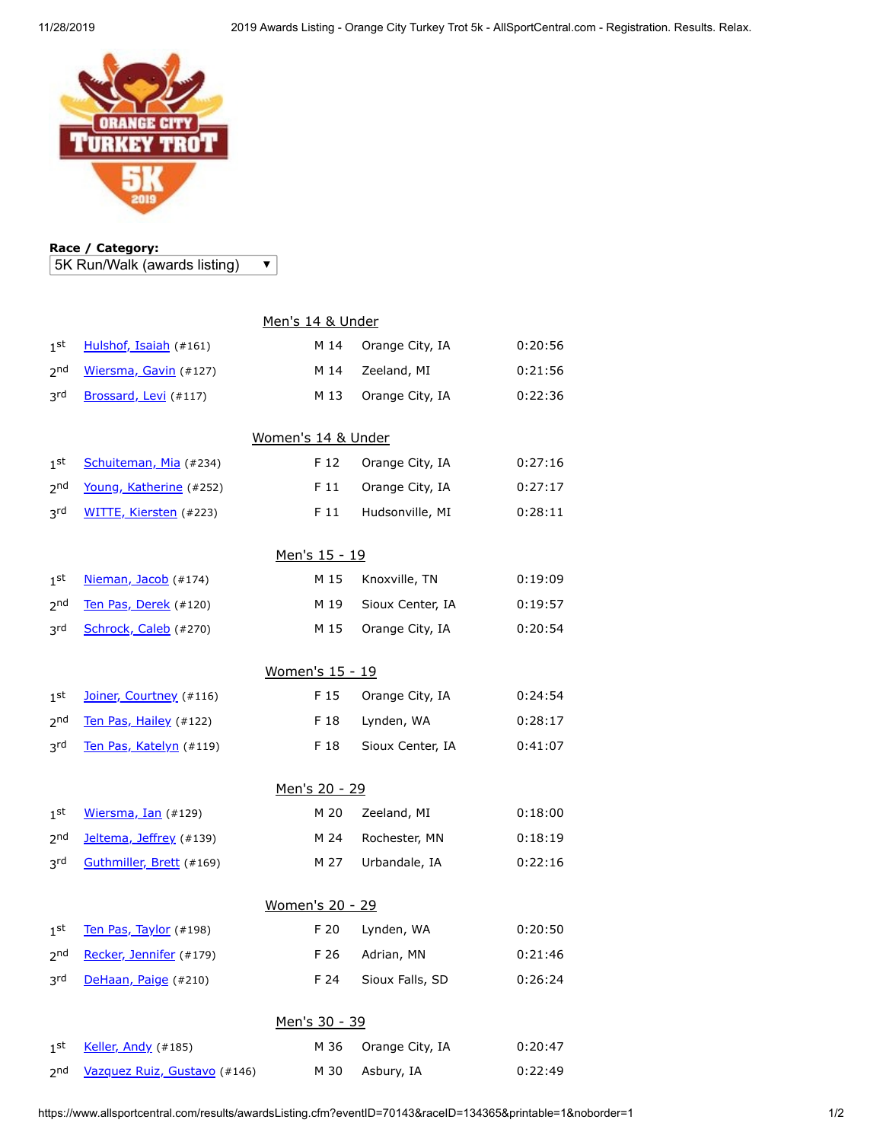

## **Race / Category:** 5K Run/Walk (awards listing)

 $\overline{\textbf{v}}$ 

|                        | Men's 14 & Under             |      |                  |         |  |  |  |  |
|------------------------|------------------------------|------|------------------|---------|--|--|--|--|
| 1 <sup>st</sup>        | Hulshof, Isaiah (#161)       | M 14 | Orange City, IA  | 0:20:56 |  |  |  |  |
| 2 <sub>nd</sub>        | Wiersma, Gavin (#127)        | M 14 | Zeeland, MI      | 0:21:56 |  |  |  |  |
| 3 <sup>rd</sup>        | Brossard, Levi (#117)        | M 13 | Orange City, IA  | 0:22:36 |  |  |  |  |
| Women's 14 & Under     |                              |      |                  |         |  |  |  |  |
| 1 <sup>st</sup>        | Schuiteman, Mia (#234)       | F 12 | Orange City, IA  | 0:27:16 |  |  |  |  |
| 2 <sub>nd</sub>        | Young, Katherine (#252)      | F 11 | Orange City, IA  | 0:27:17 |  |  |  |  |
| 3rd                    | WITTE, Kiersten (#223)       | F 11 | Hudsonville, MI  | 0:28:11 |  |  |  |  |
| <u>Men's 15 - 19</u>   |                              |      |                  |         |  |  |  |  |
| 1 <sup>st</sup>        | Nieman, Jacob (#174)         | M 15 | Knoxville, TN    | 0:19:09 |  |  |  |  |
| 2 <sub>nd</sub>        | Ten Pas, Derek (#120)        | M 19 | Sioux Center, IA | 0:19:57 |  |  |  |  |
| 3rd                    | Schrock, Caleb (#270)        | M 15 | Orange City, IA  | 0:20:54 |  |  |  |  |
| <u>Women's 15 - 19</u> |                              |      |                  |         |  |  |  |  |
| 1 <sup>st</sup>        | Joiner, Courtney (#116)      | F 15 | Orange City, IA  | 0:24:54 |  |  |  |  |
| 2 <sub>nd</sub>        | Ten Pas, Hailey (#122)       | F 18 | Lynden, WA       | 0:28:17 |  |  |  |  |
| 3rd                    | Ten Pas, Katelyn (#119)      | F 18 | Sioux Center, IA | 0:41:07 |  |  |  |  |
| Men's 20 - 29          |                              |      |                  |         |  |  |  |  |
| 1 <sup>st</sup>        | Wiersma, Ian (#129)          | M 20 | Zeeland, MI      | 0:18:00 |  |  |  |  |
| 2 <sub>nd</sub>        | Jeltema, Jeffrey (#139)      | M 24 | Rochester, MN    | 0:18:19 |  |  |  |  |
| 3rd                    | Guthmiller, Brett (#169)     | M 27 | Urbandale, IA    | 0:22:16 |  |  |  |  |
| <u>Women's 20 - 29</u> |                              |      |                  |         |  |  |  |  |
| 1 <sub>st</sub>        | Ten Pas, Taylor (#198)       | F 20 | Lynden, WA       | 0:20:50 |  |  |  |  |
| <sub>2</sub> nd        | Recker, Jennifer (#179)      | F 26 | Adrian, MN       | 0:21:46 |  |  |  |  |
| 3rd                    | DeHaan, Paige (#210)         | F 24 | Sioux Falls, SD  | 0:26:24 |  |  |  |  |
| Men's 30 - 39          |                              |      |                  |         |  |  |  |  |
| 1 <sub>st</sub>        | Keller, Andy (#185)          | M 36 | Orange City, IA  | 0:20:47 |  |  |  |  |
| 2 <sub>nd</sub>        | Vazquez Ruiz, Gustavo (#146) | M 30 | Asbury, IA       | 0:22:49 |  |  |  |  |